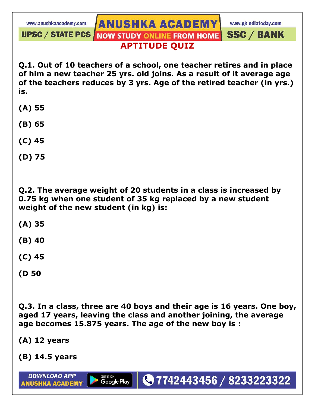www.gkindiatoday.com

**ANUSHKA ACADEMY** UPSC / STATE PCS NOW STUDY ONLINE FROM HOME **SSC / BANK APTITUDE QUIZ** 

**Q.1. Out of 10 teachers of a school, one teacher retires and in place of him a new teacher 25 yrs. old joins. As a result of it average age of the teachers reduces by 3 yrs. Age of the retired teacher (in yrs.) is.** 

- **(A) 55**
- **(B) 65**
- **(C) 45**
- **(D) 75**

**Q.2. The average weight of 20 students in a class is increased by 0.75 kg when one student of 35 kg replaced by a new student weight of the new student (in kg) is:** 

- **(A) 35**
- **(B) 40**
- **(C) 45**
- **(D 50**

**Q.3. In a class, three are 40 boys and their age is 16 years. One boy, aged 17 years, leaving the class and another joining, the average age becomes 15.875 years. The age of the new boy is :** 

●7742443456 / 8233223322

GET IT ON<br>**Google Play** 

- **(A) 12 years**
- **(B) 14.5 years**

**DOWNLOAD APP** 

**ANUSHKA ACADEMY**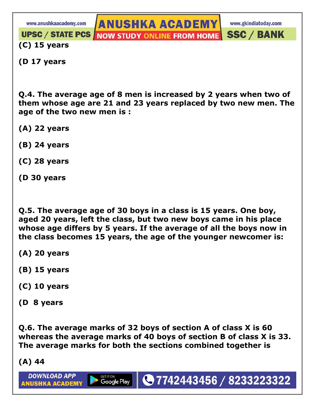**ANUSHKA ACADEMY** 

www.gkindiatoday.com

**SSC / BANK** 

**UPSC / STATE PCS / NOW STUDY ONLINE FROM HOME (C) 15 years** 

**(D 17 years** 

**Q.4. The average age of 8 men is increased by 2 years when two of them whose age are 21 and 23 years replaced by two new men. The age of the two new men is :** 

- **(A) 22 years**
- **(B) 24 years**
- **(C) 28 years**
- **(D 30 years**

**Q.5. The average age of 30 boys in a class is 15 years. One boy, aged 20 years, left the class, but two new boys came in his place whose age differs by 5 years. If the average of all the boys now in the class becomes 15 years, the age of the younger newcomer is:** 

- **(A) 20 years**
- **(B) 15 years**
- **(C) 10 years**
- **(D 8 years**

**Q.6. The average marks of 32 boys of section A of class X is 60 whereas the average marks of 40 boys of section B of class X is 33. The average marks for both the sections combined together is** 

●7742443456 / 8233223322

GET IT ON<br>**Google Play** 

**(A) 44** 

**DOWNLOAD APP** 

**ANUSHKA ACADEMY**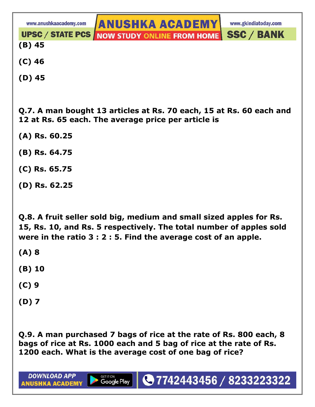**UPSC / STATE PCS /** 

**ANUSHKA ACADEMY NOW STUDY ONLINE FROM HOME** 

www.gkindiatoday.com

**SSC / BANK** 

**(B) 45** 

- **(C) 46**
- **(D) 45**

**Q.7. A man bought 13 articles at Rs. 70 each, 15 at Rs. 60 each and 12 at Rs. 65 each. The average price per article is**

- **(A) Rs. 60.25**
- **(B) Rs. 64.75**
- **(C) Rs. 65.75**
- **(D) Rs. 62.25**

**Q.8. A fruit seller sold big, medium and small sized apples for Rs. 15, Rs. 10, and Rs. 5 respectively. The total number of apples sold were in the ratio 3 : 2 : 5. Find the average cost of an apple.** 

- **(A) 8**
- **(B) 10**
- **(C) 9**
- **(D) 7**

**DOWNLOAD APP** 

**ANUSHKA ACADEMY** 

**Q.9. A man purchased 7 bags of rice at the rate of Rs. 800 each, 8 bags of rice at Rs. 1000 each and 5 bag of rice at the rate of Rs. 1200 each. What is the average cost of one bag of rice?** 

●7742443456 / 8233223322

GET IT ON<br>**Google Play**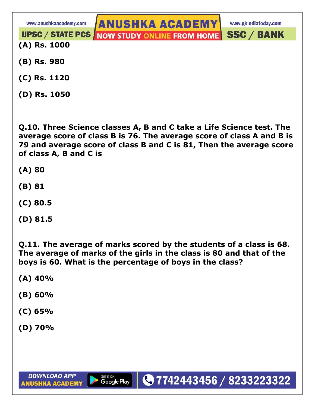**UPSC / STATE PCS /** 

**ANUSHKA ACADEMY NOW STUDY ONLINE FROM HOME** 

www.gkindiatoday.com

**SSC / BANK** 

- **(A) Rs. 1000**
- **(B) Rs. 980**
- **(C) Rs. 1120**
- **(D) Rs. 1050**

**Q.10. Three Science classes A, B and C take a Life Science test. The average score of class B is 76. The average score of class A and B is 79 and average score of class B and C is 81, Then the average score of class A, B and C is** 

- **(A) 80**
- **(B) 81**
- **(C) 80.5**
- **(D) 81.5**

**Q.11. The average of marks scored by the students of a class is 68. The average of marks of the girls in the class is 80 and that of the boys is 60. What is the percentage of boys in the class?** 

●7742443456 / 8233223322

- **(A) 40%**
- **(B) 60%**
- **(C) 65%**
- **(D) 70%**

GET IT ON<br>**Google Play**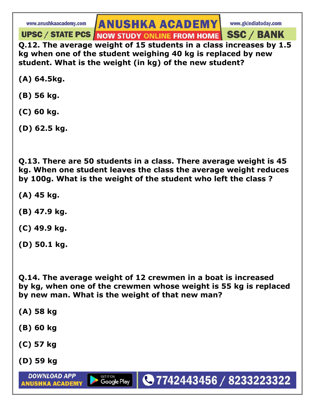## **ANUSHKA ACADEMY**

www.gkindiatoday.com

UPSC / STATE PCS NOW STUDY ONLINE FROM HOME SSC / BANK **Q.12. The average weight of 15 students in a class increases by 1.5 kg when one of the student weighing 40 kg is replaced by new** 

**student. What is the weight (in kg) of the new student?** 

**(A) 64.5kg.** 

- **(B) 56 kg.**
- **(C) 60 kg.**
- **(D) 62.5 kg.**

**Q.13. There are 50 students in a class. There average weight is 45 kg. When one student leaves the class the average weight reduces by 100g. What is the weight of the student who left the class ?** 

- **(A) 45 kg.**
- **(B) 47.9 kg.**
- **(C) 49.9 kg.**
- **(D) 50.1 kg.**

**Q.14. The average weight of 12 crewmen in a boat is increased by kg, when one of the crewmen whose weight is 55 kg is replaced by new man. What is the weight of that new man?** 

●7742443456 / 8233223322

GET IT ON<br>**Google Play** 

- **(A) 58 kg**
- **(B) 60 kg**
- **(C) 57 kg**
- **(D) 59 kg**

**DOWNLOAD APP** 

**ANUSHKA ACADEMY**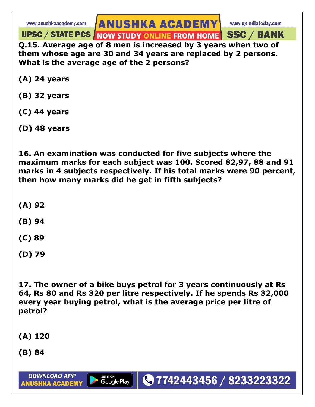## **ANUSHKA ACADEMY**

UPSC / STATE PCS NOW STUDY ONLINE FROM HOME SSC / BANK **Q.15. Average age of 8 men is increased by 3 years when two of** 

**them whose age are 30 and 34 years are replaced by 2 persons. What is the average age of the 2 persons?** 

- **(A) 24 years**
- **(B) 32 years**
- **(C) 44 years**
- **(D) 48 years**

**16. An examination was conducted for five subjects where the maximum marks for each subject was 100. Scored 82,97, 88 and 91 marks in 4 subjects respectively. If his total marks were 90 percent, then how many marks did he get in fifth subjects?** 

- **(A) 92**
- **(B) 94**
- **(C) 89**
- **(D) 79**

**17. The owner of a bike buys petrol for 3 years continuously at Rs 64, Rs 80 and Rs 320 per litre respectively. If he spends Rs 32,000 every year buying petrol, what is the average price per litre of petrol?** 

- **(A) 120**
- **(B) 84**

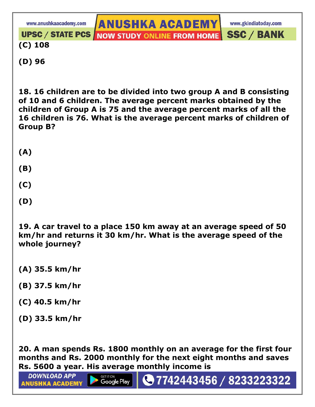**ANUSHKA ACADEMY** www.anushkaacademy.com www.gkindiatoday.com **SSC / BANK UPSC / STATE PCS / NOW STUDY ONLINE FROM HOME (C) 108 (D) 96** 

**18. 16 children are to be divided into two group A and B consisting of 10 and 6 children. The average percent marks obtained by the children of Group A is 75 and the average percent marks of all the 16 children is 76. What is the average percent marks of children of Group B?** 

**(A)** 

**(B)** 

**(C)** 

**(D)** 

**19. A car travel to a place 150 km away at an average speed of 50 km/hr and returns it 30 km/hr. What is the average speed of the whole journey?** 

- **(A) 35.5 km/hr**
- **(B) 37.5 km/hr**
- **(C) 40.5 km/hr**
- **(D) 33.5 km/hr**

**DOWNLOAD APP** 

**ANUSHKA ACADEMY** 

**20. A man spends Rs. 1800 monthly on an average for the first four months and Rs. 2000 monthly for the next eight months and saves Rs. 5600 a year. His average monthly income is** 

◯7742443456 / 8233223322

**GET IT ON** 

Google Play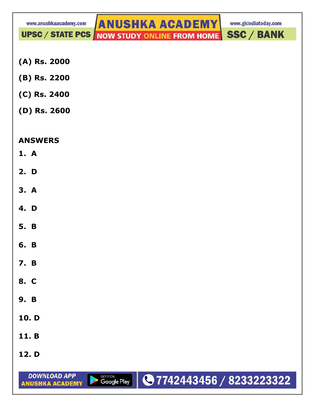www.gkindiatoday.com

UPSC / STATE PCS NOW STUDY ONLINE FROM HOME

**SSC / BANK** 

- **(A) Rs. 2000**
- **(B) Rs. 2200**
- **(C) Rs. 2400**
- **(D) Rs. 2600**

## **ANSWERS**

- **1. A**
- **2. D**
- **3. A**
- **4. D**
- **5. B**
- **6. B**
- **7. B**
- **8. C**
- **9. B**
- **10. D**
- **11. B**
- **12. D**

**DOWNLOAD APP GETITON**<br>Google Play ●7742443456 / 8233223322 **ANUSHKA ACADEMY**